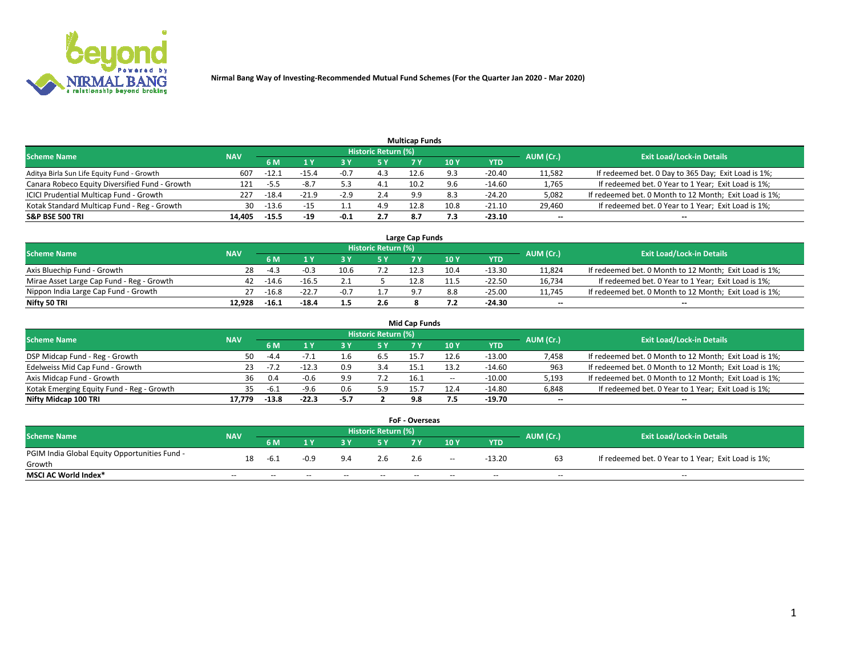

|                                                |            |         |         |        |                     | <b>Multicap Funds</b> |      |          |                          |                                                        |
|------------------------------------------------|------------|---------|---------|--------|---------------------|-----------------------|------|----------|--------------------------|--------------------------------------------------------|
| Scheme Name                                    | <b>NAV</b> |         |         |        | Historic Return (%) |                       |      |          | AUM (Cr.)                | <b>Exit Load/Lock-in Details</b>                       |
|                                                |            | 6 M     |         |        | 5 Y                 |                       | 10 ۱ | YTD      |                          |                                                        |
| Aditya Birla Sun Life Equity Fund - Growth     | 607        | -12.1   | $-15.4$ | $-0.7$ | 4.3                 | 12.6                  |      | -20.40   | 11,582                   | If redeemed bet. 0 Day to 365 Day; Exit Load is 1%;    |
| Canara Robeco Equity Diversified Fund - Growth | 121        | -5.5    | $-8.7$  |        | 4.1                 | 10.2                  | 9.6  | $-14.60$ | 1,765                    | If redeemed bet. 0 Year to 1 Year; Exit Load is 1%;    |
| ICICI Prudential Multicap Fund - Growth        | 227        | $-18.4$ | $-21.9$ | $-2.9$ | 2.4                 | 9.9                   |      | $-24.20$ | 5,082                    | If redeemed bet. 0 Month to 12 Month; Exit Load is 1%; |
| Kotak Standard Multicap Fund - Reg - Growth    | 30         | $-13.6$ | $-15$   |        | 4.9                 | 12.8                  | 10.8 | $-21.10$ | 29,460                   | If redeemed bet. 0 Year to 1 Year; Exit Load is 1%;    |
| <b>S&amp;P BSE 500 TRI</b>                     | 14.405     | $-15.5$ | $-19$   | $-0.1$ | 2.7                 | 8.7                   | 7.3  | $-23.10$ | $\overline{\phantom{a}}$ | $- -$                                                  |

| Large Cap Funds                           |            |         |           |                                  |     |      |      |          |        |                                                        |  |  |  |
|-------------------------------------------|------------|---------|-----------|----------------------------------|-----|------|------|----------|--------|--------------------------------------------------------|--|--|--|
| Scheme Name                               | <b>NAV</b> |         | AUM (Cr.) | <b>Exit Load/Lock-in Details</b> |     |      |      |          |        |                                                        |  |  |  |
|                                           |            | 6 M     |           |                                  | 5 Y | 7 Y  | 10Y  | YTD      |        |                                                        |  |  |  |
| Axis Bluechip Fund - Growth               | 28         |         | $-0.3$    | 10.6                             |     | 12.5 | 10.4 | -13.30   | 11,824 | If redeemed bet. 0 Month to 12 Month; Exit Load is 1%; |  |  |  |
| Mirae Asset Large Cap Fund - Reg - Growth | 42         | -14.6   | $-16.5$   |                                  |     | 12.8 | 11.5 | $-22.50$ | 16,734 | If redeemed bet. 0 Year to 1 Year; Exit Load is 1%;    |  |  |  |
| Nippon India Large Cap Fund - Growth      |            | $-16.8$ | $-22.7$   |                                  |     |      |      | $-25.00$ | 11,745 | If redeemed bet. 0 Month to 12 Month; Exit Load is 1%; |  |  |  |
| Nifty 50 TRI                              | 12.928     | $-16.1$ | $-18.4$   | 1.3                              | 2.6 |      |      | -24.30   | $\sim$ | $-$                                                    |  |  |  |

|                                           |            |         |         |      |                     | <b>Mid Cap Funds</b> |        |            |           |                                                        |
|-------------------------------------------|------------|---------|---------|------|---------------------|----------------------|--------|------------|-----------|--------------------------------------------------------|
| <b>Scheme Name</b>                        | <b>NAV</b> |         |         |      | Historic Return (%) |                      |        |            | AUM (Cr.) | <b>Exit Load/Lock-in Details</b>                       |
|                                           |            | 6 M     |         |      | 5 Y                 |                      | 10 Y   | <b>YTD</b> |           |                                                        |
| DSP Midcap Fund - Reg - Growth            | 50.        | $-4.4$  |         |      |                     | 15.7                 | 12.6   | $-13.00$   | 7,458     | If redeemed bet. 0 Month to 12 Month; Exit Load is 1%; |
| Edelweiss Mid Cap Fund - Growth           |            | $-1$    | $-12.3$ | 0.9  | 3.4                 | 15.1                 | 13.2   | $-14.60$   | 963       | If redeemed bet. 0 Month to 12 Month; Exit Load is 1%; |
| Axis Midcap Fund - Growth                 | 36         | 0.4     | $-0.6$  | 9.9  | 7.2                 | 16.1                 | $\sim$ | $-10.00$   | 5,193     | If redeemed bet. 0 Month to 12 Month; Exit Load is 1%; |
| Kotak Emerging Equity Fund - Reg - Growth |            | -6.1    | $-9.6$  | 0.6  | 5.9                 | 15.7                 | 12.4   | $-14.80$   | 6,848     | If redeemed bet. 0 Year to 1 Year; Exit Load is 1%;    |
| Nifty Midcap 100 TRI                      | 17.779     | $-13.8$ | $-22.3$ | -5.7 |                     | 9.8                  |        | $-19.70$   | $\sim$    | $\sim$                                                 |

| <b>FoF - Overseas</b>                         |            |        |        |       |                            |       |       |            |           |                                                     |  |  |  |  |
|-----------------------------------------------|------------|--------|--------|-------|----------------------------|-------|-------|------------|-----------|-----------------------------------------------------|--|--|--|--|
| <b>Scheme Name</b>                            | <b>NAV</b> |        |        |       | <b>Historic Return (%)</b> |       |       |            | AUM (Cr.) | <b>Exit Load/Lock-in Details</b>                    |  |  |  |  |
|                                               |            | 6 M    |        |       |                            |       | 10Y   | <b>YTD</b> |           |                                                     |  |  |  |  |
| PGIM India Global Equity Opportunities Fund - | 18         |        | $-0.9$ | 9.4   | 2.6                        | 2.6   | $- -$ | $-13.20$   |           | If redeemed bet. 0 Year to 1 Year; Exit Load is 1%; |  |  |  |  |
| Growth                                        |            | $-6.1$ |        |       |                            |       |       |            |           |                                                     |  |  |  |  |
| <b>MSCI AC World Index*</b>                   | $- -$      | $- -$  | $- -$  | $- -$ | $- -$                      | $- -$ | $- -$ | --         | $- -$     | $- -$                                               |  |  |  |  |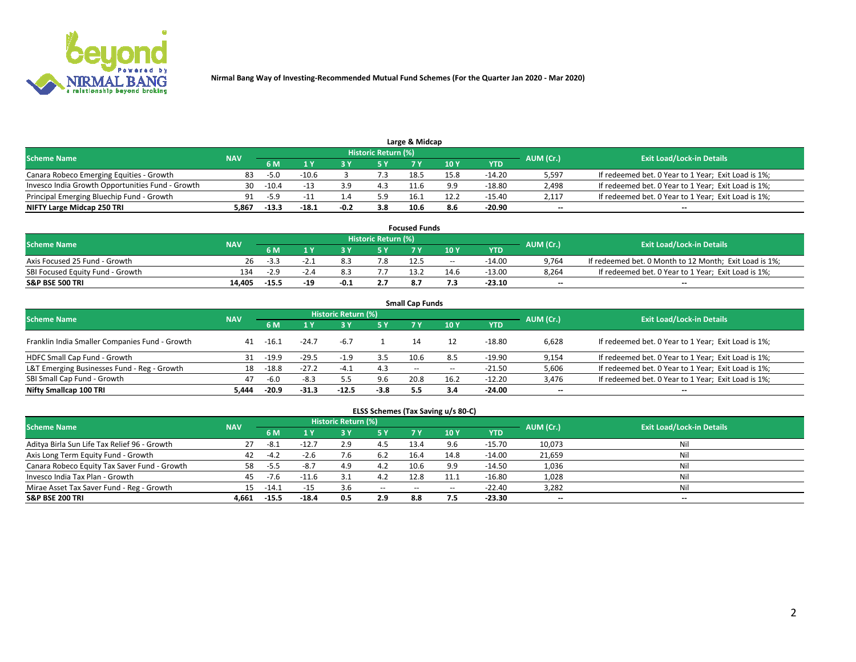

| <b>Scheme Name</b>                               | <b>NAV</b> |         |         |        | Historic Return (%) |      |      |            | AUM (Cr.)                | <b>Exit Load/Lock-in Details</b>                    |
|--------------------------------------------------|------------|---------|---------|--------|---------------------|------|------|------------|--------------------------|-----------------------------------------------------|
|                                                  |            | 5 M     |         |        | 5 Y                 |      | 10Y  | <b>YTD</b> |                          |                                                     |
| Canara Robeco Emerging Equities - Growth         | 83         | $-5.0$  | $-10.6$ |        |                     | 18.5 | 15.8 | $-14.20$   | 5,597                    | If redeemed bet. 0 Year to 1 Year; Exit Load is 1%; |
| Invesco India Growth Opportunities Fund - Growth | 30         | $-10.4$ |         |        | 4.3                 | 11.6 | 9.9  | -18.80     | 2,498                    | If redeemed bet. 0 Year to 1 Year; Exit Load is 1%; |
| Principal Emerging Bluechip Fund - Growth        | 91         | $-5.9$  |         |        | 5.9                 | 16.1 | 12.2 | -15.40     | 2,117                    | If redeemed bet. 0 Year to 1 Year; Exit Load is 1%; |
| NIFTY Large Midcap 250 TRI                       | 5.867      | $-13.3$ | -18.1   | $-0.2$ | 3.8                 | 10.6 | 8.6  | -20.90     | $\overline{\phantom{a}}$ | $- -$                                               |

| <b>Focused Funds</b>             |            |         |     |        |                     |      |       |            |           |                                                        |  |  |  |
|----------------------------------|------------|---------|-----|--------|---------------------|------|-------|------------|-----------|--------------------------------------------------------|--|--|--|
| <b>Scheme Name</b>               | <b>NAV</b> |         |     |        | Historic Return (%) |      |       |            | AUM (Cr.) | <b>Exit Load/Lock-in Details</b>                       |  |  |  |
|                                  |            | 6 M     |     |        |                     |      | 10 Y  | <b>YTD</b> |           |                                                        |  |  |  |
| Axis Focused 25 Fund - Growth    | 26         |         |     |        | 7.8                 | 12.5 | $- -$ | -14.00     | 9,764     | If redeemed bet. 0 Month to 12 Month; Exit Load is 1%; |  |  |  |
| SBI Focused Equity Fund - Growth | 134        | $-2.9$  |     |        |                     | 13.2 | 14.6  | $-13.00$   | 8,264     | If redeemed bet. 0 Year to 1 Year; Exit Load is 1%;    |  |  |  |
| <b>S&amp;P BSE 500 TRI</b>       | 14.405     | $-15.5$ | -19 | $-0.1$ |                     |      |       | $-23.10$   | $\sim$    | $- -$                                                  |  |  |  |

| <b>Small Cap Funds</b>                         |            |         |         |                     |        |        |                          |            |                          |                                                     |  |  |  |  |
|------------------------------------------------|------------|---------|---------|---------------------|--------|--------|--------------------------|------------|--------------------------|-----------------------------------------------------|--|--|--|--|
| <b>Scheme Name</b>                             | <b>NAV</b> |         |         | Historic Return (%) |        |        |                          |            |                          | <b>Exit Load/Lock-in Details</b>                    |  |  |  |  |
|                                                |            | 6 M     |         |                     | 5 Y    | 7 Y    | 10 <sub>Y</sub>          | <b>YTD</b> | AUM (Cr.)                |                                                     |  |  |  |  |
| Franklin India Smaller Companies Fund - Growth | 41         | $-16.1$ | $-24.7$ | $-6.7$              |        |        |                          | $-18.80$   | 6,628                    | If redeemed bet. 0 Year to 1 Year; Exit Load is 1%; |  |  |  |  |
| HDFC Small Cap Fund - Growth                   | 31         | $-19.9$ | $-29.5$ | -1.9                | 3.5    | 10.6   | -8.5                     | $-19.90$   | 9,154                    | If redeemed bet. 0 Year to 1 Year; Exit Load is 1%; |  |  |  |  |
| L&T Emerging Businesses Fund - Reg - Growth    | 18         | $-18.8$ | $-27.2$ | $-4.1$              | 4.3    | $\sim$ | $\overline{\phantom{a}}$ | $-21.50$   | 5,606                    | If redeemed bet. 0 Year to 1 Year; Exit Load is 1%; |  |  |  |  |
| SBI Small Cap Fund - Growth                    | 47         | $-6.0$  | $-8.3$  |                     | 9.6    | 20.8   | 16.2                     | $-12.20$   | 3,476                    | If redeemed bet. 0 Year to 1 Year; Exit Load is 1%; |  |  |  |  |
| Nifty Smallcap 100 TRI                         | 5.444      | $-20.9$ | $-31.3$ | $-12.5$             | $-3.8$ | 5.5    | 3.4                      | $-24.00$   | $\overline{\phantom{a}}$ | $- -$                                               |  |  |  |  |

## **ELSS Schemes (Tax Saving u/s 80-C)**

| <b>Scheme Name</b>                           | <b>NAV</b> |         |         | <b>Historic Return (%)</b> |           |      |      |          | AUM (Cr.) | <b>Exit Load/Lock-in Details</b> |
|----------------------------------------------|------------|---------|---------|----------------------------|-----------|------|------|----------|-----------|----------------------------------|
|                                              |            | 6 M     | 1 Y     | 3 Y                        | <b>5Y</b> | 7 Y  | 10Y  | YTD      |           |                                  |
| Aditya Birla Sun Life Tax Relief 96 - Growth | 27         | -8.1    | $-12.7$ | 2.9                        | 4.5       | 13.4 |      | $-15.70$ | 10,073    | Nil                              |
| Axis Long Term Equity Fund - Growth          | 42         |         | -2.b    | $\cdot$ b                  | 6.2       | 16.4 | 14.8 | $-14.00$ | 21,659    | Nil                              |
| Canara Robeco Equity Tax Saver Fund - Growth | 58         | -5.5    | -8.7    | 4.9                        | 4.2       | 10.6 | 9.9  | $-14.50$ | 1,036     | Nil                              |
| Invesco India Tax Plan - Growth              | 45         | $-7.6$  | $-11.6$ |                            | 4.2       | 12.8 |      | $-16.80$ | 1,028     | Nil                              |
| Mirae Asset Tax Saver Fund - Reg - Growth    | 15.        | -14.1   | $-15$   | 3.b                        | $- -$     | --   | --   | $-22.40$ | 3,282     | Nil                              |
| S&P BSE 200 TRI                              | 4.661      | $-15.5$ | $-18.4$ | 0.5                        | 2.9       | 8.8  | 7.5  | $-23.30$ | $-$       | $- -$                            |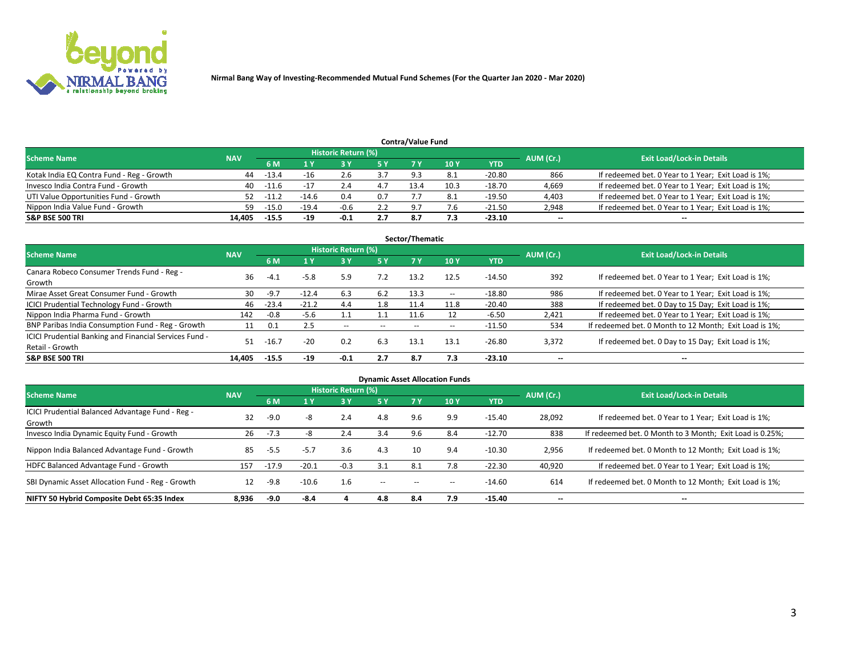

|                                           |            |         |         |                     |     | <b>Contra/Value Fund</b> |      |          |           |                                                     |
|-------------------------------------------|------------|---------|---------|---------------------|-----|--------------------------|------|----------|-----------|-----------------------------------------------------|
| <b>Scheme Name</b>                        | <b>NAV</b> |         |         | Historic Return (%) |     |                          |      |          | AUM (Cr.) | <b>Exit Load/Lock-in Details</b>                    |
|                                           |            | 6 M     |         |                     | 5 Y | 7 Y                      | 10Y  | YTD      |           |                                                     |
| Kotak India EQ Contra Fund - Reg - Growth | 44         | $-13.4$ | $-16$   |                     |     | Q 3                      |      | -20.80   | 866       | If redeemed bet. 0 Year to 1 Year; Exit Load is 1%; |
| Invesco India Contra Fund - Growth        | 40         | $-11.6$ |         |                     |     | 13.4                     | 10.3 | $-18.70$ | 4,669     | If redeemed bet. 0 Year to 1 Year; Exit Load is 1%; |
| UTI Value Opportunities Fund - Growth     | 52         | $-11.2$ | $-14.6$ | 0.4                 | 0.7 |                          |      | -19.50   | 4,403     | If redeemed bet. 0 Year to 1 Year; Exit Load is 1%; |
| Nippon India Value Fund - Growth          | 59         | $-15.0$ | $-19.4$ | $-0.6$              |     | - Q                      |      | $-21.50$ | 2,948     | If redeemed bet. 0 Year to 1 Year; Exit Load is 1%; |
| <b>S&amp;P BSE 500 TRI</b>                | 14.405     | $-15.5$ | $-19$   | $-0.1$              | 2.7 | 8.7                      |      | $-23.10$ | $\sim$    | $- -$                                               |

| Sector/Thematic                                                           |            |         |         |                     |       |       |                          |            |                          |                                                        |  |  |  |
|---------------------------------------------------------------------------|------------|---------|---------|---------------------|-------|-------|--------------------------|------------|--------------------------|--------------------------------------------------------|--|--|--|
| <b>Scheme Name</b>                                                        | <b>NAV</b> |         |         | Historic Return (%) |       |       |                          |            | AUM (Cr.)                | <b>Exit Load/Lock-in Details</b>                       |  |  |  |
|                                                                           |            | 6 M     | 1 Y     | 73 Y                | 15 Y  | 7 Y   | 10Y                      | <b>YTD</b> |                          |                                                        |  |  |  |
| Canara Robeco Consumer Trends Fund - Reg -<br>Growth                      | 36         | $-4.1$  | $-5.8$  | 5.9                 | 7.2   | 13.2  | 12.5                     | $-14.50$   | 392                      | If redeemed bet. 0 Year to 1 Year; Exit Load is 1%;    |  |  |  |
| Mirae Asset Great Consumer Fund - Growth                                  | 30         | $-9.7$  | $-12.4$ | 6.3                 | 6.2   | 13.3  | $\overline{\phantom{a}}$ | $-18.80$   | 986                      | If redeemed bet. 0 Year to 1 Year; Exit Load is 1%;    |  |  |  |
| ICICI Prudential Technology Fund - Growth                                 | 46         | $-23.4$ | $-21.2$ | 4.4                 | 1.8   | 11.4  | 11.8                     | $-20.40$   | 388                      | If redeemed bet. 0 Day to 15 Day; Exit Load is 1%;     |  |  |  |
| Nippon India Pharma Fund - Growth                                         | 142        | $-0.8$  | $-5.6$  |                     |       | 11.6  |                          | $-6.50$    | 2,421                    | If redeemed bet. 0 Year to 1 Year; Exit Load is 1%;    |  |  |  |
| BNP Paribas India Consumption Fund - Reg - Growth                         | 11         | 0.1     | 2.5     | $- -$               | $- -$ | $- -$ | $- -$                    | $-11.50$   | 534                      | If redeemed bet. 0 Month to 12 Month; Exit Load is 1%; |  |  |  |
| ICICI Prudential Banking and Financial Services Fund -<br>Retail - Growth | 51         | $-16.7$ | $-20$   | 0.2                 | 6.3   | 13.1  | 13.1                     | -26.80     | 3,372                    | If redeemed bet. 0 Day to 15 Day; Exit Load is 1%;     |  |  |  |
| <b>S&amp;P BSE 500 TRI</b>                                                | 14.405     | $-15.5$ | $-19$   | $-0.1$              | 2.7   | 8.7   | 7.3                      | $-23.10$   | $\overline{\phantom{a}}$ | $- -$                                                  |  |  |  |

|                                                            |            |         |         |                     |        |           | <b>Dynamic Asset Allocation Funds</b> |            |                          |                                                          |
|------------------------------------------------------------|------------|---------|---------|---------------------|--------|-----------|---------------------------------------|------------|--------------------------|----------------------------------------------------------|
| <b>Scheme Name</b>                                         | <b>NAV</b> |         |         | Historic Return (%) |        |           |                                       |            | AUM (Cr.)                | <b>Exit Load/Lock-in Details</b>                         |
|                                                            |            | 6 M     |         | 73 Y                | 5 Y    | <b>7Y</b> | 10Y                                   | <b>YTD</b> |                          |                                                          |
| ICICI Prudential Balanced Advantage Fund - Reg -<br>Growth | 32         | $-9.0$  | -8      | 2.4                 | 4.8    | 9.6       | 9.9                                   | $-15.40$   | 28,092                   | If redeemed bet. 0 Year to 1 Year; Exit Load is 1%;      |
| Invesco India Dynamic Equity Fund - Growth                 | 26         | $-7.3$  |         | 2.4                 | 3.4    | 9.6       | 8.4                                   | $-12.70$   | 838                      | If redeemed bet. 0 Month to 3 Month; Exit Load is 0.25%; |
| Nippon India Balanced Advantage Fund - Growth              | 85         | $-5.5$  | $-5.7$  | 3.6                 | 4.3    | 10        | 9.4                                   | $-10.30$   | 2,956                    | If redeemed bet. 0 Month to 12 Month; Exit Load is 1%;   |
| HDFC Balanced Advantage Fund - Growth                      | 157        | $-17.9$ | $-20.1$ | $-0.3$              | 3.1    | 8.1       | 7.8                                   | $-22.30$   | 40,920                   | If redeemed bet. 0 Year to 1 Year; Exit Load is 1%;      |
| SBI Dynamic Asset Allocation Fund - Reg - Growth           | 12         | $-9.8$  | $-10.6$ | 1.6                 | $\sim$ |           | --                                    | $-14.60$   | 614                      | If redeemed bet. 0 Month to 12 Month; Exit Load is 1%;   |
| NIFTY 50 Hybrid Composite Debt 65:35 Index                 | 8,936      | -9.0    | $-8.4$  |                     | 4.8    | 8.4       | 7.9                                   | -15.40     | $\overline{\phantom{a}}$ | $- -$                                                    |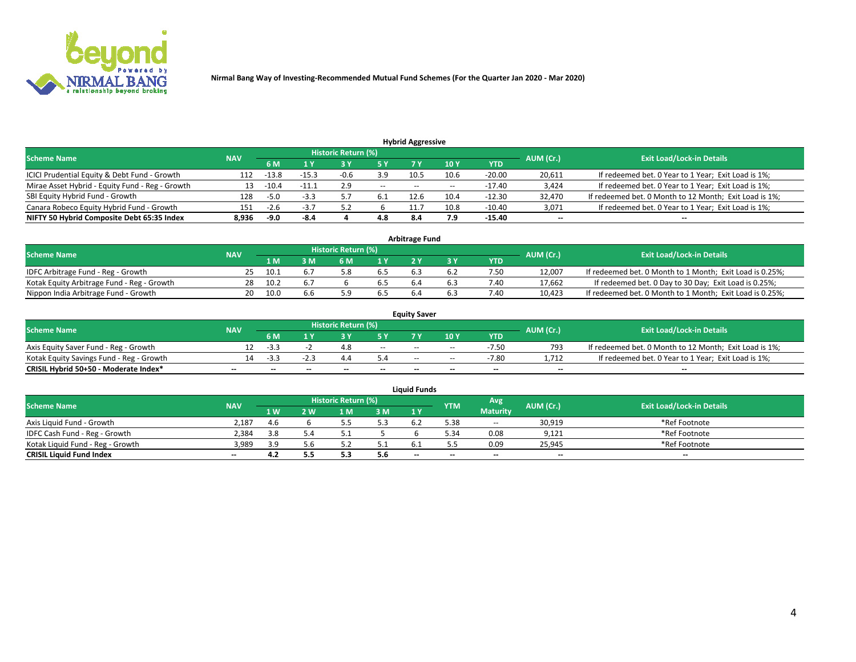

|                                                 |            |         |         |                     |                                  | <b>Hybrid Aggressive</b> |       |          |           |                                                        |
|-------------------------------------------------|------------|---------|---------|---------------------|----------------------------------|--------------------------|-------|----------|-----------|--------------------------------------------------------|
| <b>Scheme Name</b>                              | <b>NAV</b> |         |         | Historic Return (%) | <b>Exit Load/Lock-in Details</b> |                          |       |          |           |                                                        |
|                                                 |            | 6 M     |         |                     |                                  |                          | 10 Y  | YTD      | AUM (Cr.) |                                                        |
| ICICI Prudential Equity & Debt Fund - Growth    | 112        | $-13.8$ | $-15.3$ | -0.6                | 3.9                              | 10.5                     | 10.6  | $-20.00$ | 20,611    | If redeemed bet. 0 Year to 1 Year; Exit Load is 1%;    |
| Mirae Asset Hybrid - Equity Fund - Reg - Growth | 13         | $-10.4$ | $-11.1$ | 2.9                 | $\sim$                           | $\overline{\phantom{m}}$ | $- -$ | $-17.40$ | 3,424     | If redeemed bet. 0 Year to 1 Year; Exit Load is 1%;    |
| SBI Equity Hybrid Fund - Growth                 | 128        | $-5.0$  | $-3.3$  |                     |                                  | 12.6                     | 10.4  | $-12.30$ | 32,470    | If redeemed bet. 0 Month to 12 Month; Exit Load is 1%; |
| Canara Robeco Equity Hybrid Fund - Growth       | 151        | $-2.6$  | -3.,    |                     |                                  | 11.7                     | 10.8  | $-10.40$ | 3,071     | If redeemed bet. 0 Year to 1 Year; Exit Load is 1%;    |
| NIFTY 50 Hybrid Composite Debt 65:35 Index      | 8,936      | -9.0    | -8.4    |                     | 4.8                              | 8.4                      | 7.9   | -15.40   | $\sim$    | $- -$                                                  |

|                                            |            |                                  |    |     |     | <b>Arbitrage Fund</b> |      |        |                                                          |
|--------------------------------------------|------------|----------------------------------|----|-----|-----|-----------------------|------|--------|----------------------------------------------------------|
| <b>Scheme Name</b>                         | AUM (Cr.)  | <b>Exit Load/Lock-in Details</b> |    |     |     |                       |      |        |                                                          |
|                                            | <b>NAV</b> | 1 M                              | ιM | 6 M |     |                       | YTD  |        |                                                          |
| IDFC Arbitrage Fund - Reg - Growth         | 25.        | د.10                             |    |     | 6.5 | 6.                    | 7.50 | 12,007 | If redeemed bet. 0 Month to 1 Month; Exit Load is 0.25%; |
| Kotak Equity Arbitrage Fund - Reg - Growth | 28         | 10.2                             |    |     | 6.5 |                       | 7.40 | 17,662 | If redeemed bet. 0 Day to 30 Day; Exit Load is 0.25%;    |
| Nippon India Arbitrage Fund - Growth       | 20.        | 10.0                             |    |     | b.5 |                       | 7.40 | 10,423 | If redeemed bet. 0 Month to 1 Month; Exit Load is 0.25%; |

|                                          |            |           |                                  |                          |                          | <b>Equity Saver</b> |               |            |                          |                                                        |
|------------------------------------------|------------|-----------|----------------------------------|--------------------------|--------------------------|---------------------|---------------|------------|--------------------------|--------------------------------------------------------|
| Scheme Name                              | <b>NAV</b> | AUM (Cr.) | <b>Exit Load/Lock-in Details</b> |                          |                          |                     |               |            |                          |                                                        |
|                                          |            | 6 M       |                                  |                          | 5 Y                      |                     | $\sqrt{10}$ Y | <b>YTD</b> |                          |                                                        |
| Axis Equity Saver Fund - Reg - Growth    |            | -3.3      |                                  | 4.8                      | $\sim$                   | $-$                 | $- -$         | $-7.50$    | 793                      | If redeemed bet. 0 Month to 12 Month; Exit Load is 1%; |
| Kotak Equity Savings Fund - Reg - Growth |            | -3.3      | -4.3                             | 4.4                      |                          | $- -$               | $- -$         | -7.80      | 1.712                    | If redeemed bet. 0 Year to 1 Year; Exit Load is 1%;    |
| CRISIL Hybrid 50+50 - Moderate Index*    |            | $- -$     | $-$                              | $\overline{\phantom{a}}$ | $\overline{\phantom{a}}$ | $\sim$              | --            | $\sim$     | $\overline{\phantom{a}}$ | $- -$                                                  |

| <b>Liquid Funds</b>              |            |      |     |                            |      |                          |            |                 |           |                                  |  |  |  |  |
|----------------------------------|------------|------|-----|----------------------------|------|--------------------------|------------|-----------------|-----------|----------------------------------|--|--|--|--|
| Scheme Name                      | <b>NAV</b> |      |     | <b>Historic Return (%)</b> |      |                          | <b>YTM</b> | Avg             | AUM (Cr.) | <b>Exit Load/Lock-in Details</b> |  |  |  |  |
|                                  |            | 1 W. | 2 W | 1 M                        | 3M   | 1 Y                      |            | <b>Maturity</b> |           |                                  |  |  |  |  |
| Axis Liquid Fund - Growth        | 2,187      | 4.b  |     |                            | 5.3  |                          | 5.38       | $\sim$          | 30,919    | *Ref Footnote                    |  |  |  |  |
| IDFC Cash Fund - Reg - Growth    | 2,384      | 3.8  |     |                            |      |                          | 5.34       | 0.08            | 9,121     | *Ref Footnote                    |  |  |  |  |
| Kotak Liquid Fund - Reg - Growth | 3,989      |      |     |                            | ۰۰ ت |                          |            | 0.09            | 25,945    | *Ref Footnote                    |  |  |  |  |
| <b>CRISIL Liquid Fund Index</b>  | $\sim$     | 4.2  | 5.5 |                            | 5.6  | $\overline{\phantom{a}}$ | $-$        | $\sim$          | $\sim$    | $\sim$                           |  |  |  |  |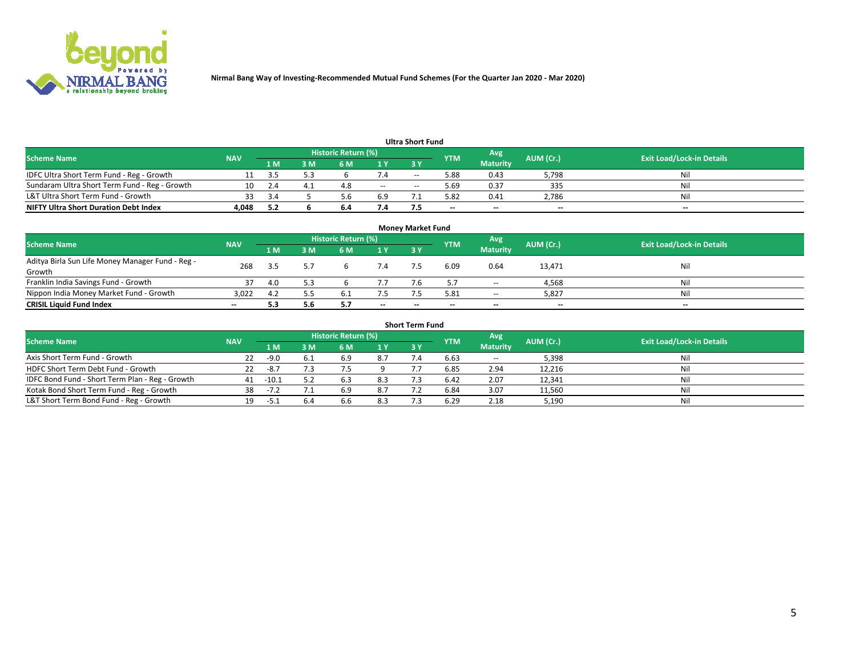

| <b>Ultra Short Fund</b>                       |            |      |     |                            |        |     |            |                 |           |                                  |  |  |  |
|-----------------------------------------------|------------|------|-----|----------------------------|--------|-----|------------|-----------------|-----------|----------------------------------|--|--|--|
| <b>Scheme Name</b>                            | <b>NAV</b> |      |     | <b>Historic Return (%)</b> |        |     | <b>YTM</b> | Avg             | AUM (Cr.) | <b>Exit Load/Lock-in Details</b> |  |  |  |
|                                               |            | 1 M  | 3 M | 6 M                        | 1 Y    | 3 Y |            | <b>Maturity</b> |           |                                  |  |  |  |
| IDFC Ultra Short Term Fund - Reg - Growth     |            |      |     |                            |        | $-$ | 5.88       | 0.43            | 5,798     | Nil                              |  |  |  |
| Sundaram Ultra Short Term Fund - Reg - Growth |            |      |     | 4.8                        | $\sim$ | $-$ | .69 د      | 0.37            | 335       | Nil                              |  |  |  |
| L&T Ultra Short Term Fund - Growth            | २२         | - 24 |     |                            | 6.9    |     | 5.82       | 0.41            | 2,786     | Nil                              |  |  |  |
| <b>NIFTY Ultra Short Duration Debt Index</b>  | 4,048      | 5.2  |     | b.4                        | 7.4    |     | --         | $-$             | $\sim$    | $- -$                            |  |  |  |

| <b>Monev Market Fund</b>                                   |                          |     |     |                     |        |        |            |                 |                          |                                  |  |  |  |  |
|------------------------------------------------------------|--------------------------|-----|-----|---------------------|--------|--------|------------|-----------------|--------------------------|----------------------------------|--|--|--|--|
| <b>Scheme Name</b>                                         | <b>NAV</b>               |     |     | Historic Return (%) |        |        | <b>YTM</b> | Avg             | AUM (Cr.)                | <b>Exit Load/Lock-in Details</b> |  |  |  |  |
|                                                            |                          | 1 M | 3 M | 6 M                 | 1Y     | 3Y     |            | <b>Maturity</b> |                          |                                  |  |  |  |  |
| Aditya Birla Sun Life Money Manager Fund - Reg -<br>Growth | 268                      |     |     |                     |        |        | 6.09       | 0.64            | 13,471                   | Nil                              |  |  |  |  |
| Franklin India Savings Fund - Growth                       |                          | 4.0 |     |                     | 7.7    |        |            | $\sim$ $\sim$   | 4,568                    | Nil                              |  |  |  |  |
| Nippon India Money Market Fund - Growth                    | 3,022                    | 4.2 |     | -6.1                | 7.5    |        | 5.81       | $\sim$          | 5,827                    | Nil                              |  |  |  |  |
| <b>CRISIL Liquid Fund Index</b>                            | $\overline{\phantom{a}}$ |     | 5.6 |                     | $\sim$ | $\sim$ | --         | $- -$           | $\overline{\phantom{a}}$ | $\sim$                           |  |  |  |  |

| <b>Short Term Fund</b>                          |            |         |     |                            |     |            |            |                 |           |                                  |  |  |  |  |
|-------------------------------------------------|------------|---------|-----|----------------------------|-----|------------|------------|-----------------|-----------|----------------------------------|--|--|--|--|
| <b>Scheme Name</b>                              | <b>NAV</b> |         |     | <b>Historic Return (%)</b> |     |            | <b>YTM</b> | Avg             | AUM (Cr.) | <b>Exit Load/Lock-in Details</b> |  |  |  |  |
|                                                 |            | 1 M     | 3 M | 6 M                        | 1 Y | <b>3 Y</b> |            | <b>Maturity</b> |           |                                  |  |  |  |  |
| Axis Short Term Fund - Growth                   | 22         | $-9.0$  |     | 6.9                        | 8.7 |            | 6.63       | $-$             | 5,398     | Nil                              |  |  |  |  |
| HDFC Short Term Debt Fund - Growth              | 22         | -8.7    |     |                            |     |            | 6.85       | 2.94            | 12,216    | Nil                              |  |  |  |  |
| IDFC Bond Fund - Short Term Plan - Reg - Growth | 41         | $-10.1$ |     | 6.3                        | 8.3 |            | 6.42       | 2.07            | 12,341    | Nil                              |  |  |  |  |
| Kotak Bond Short Term Fund - Reg - Growth       | 38         | -72     |     | 6.9                        | 8.7 |            | 6.84       | 3.07            | 11,560    | Nil                              |  |  |  |  |
| L&T Short Term Bond Fund - Reg - Growth         | 19.        | $-51$   | 6.4 | b.b                        | 8.3 |            | 6.29       | 2.18            | 5,190     | Nil                              |  |  |  |  |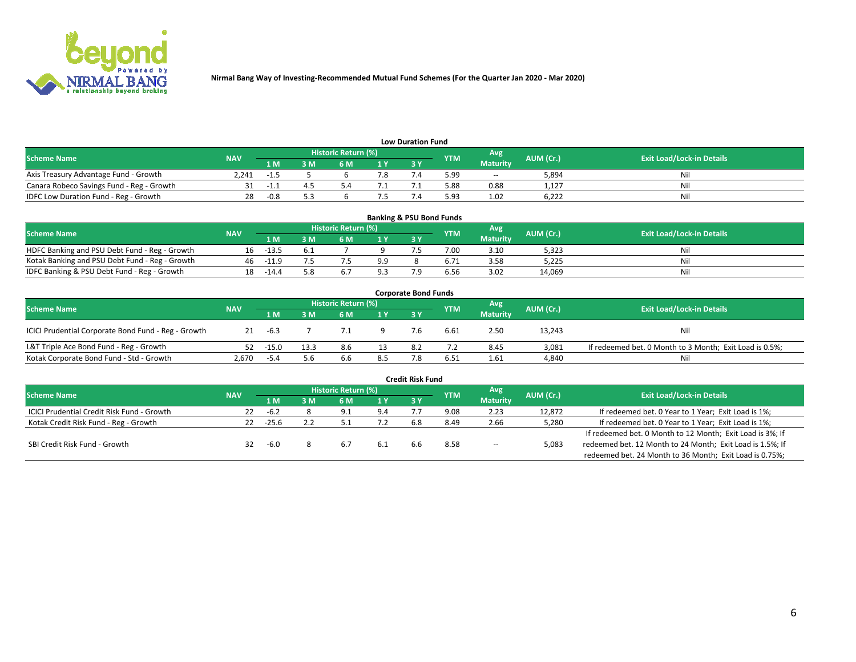

| <b>Low Duration Fund</b>                  |            |      |     |                            |     |    |            |                 |           |                                  |  |  |  |  |
|-------------------------------------------|------------|------|-----|----------------------------|-----|----|------------|-----------------|-----------|----------------------------------|--|--|--|--|
| <b>Scheme Name</b>                        | <b>NAV</b> |      |     | <b>Historic Return (%)</b> |     |    | <b>YTM</b> | Avg             | AUM (Cr.) | <b>Exit Load/Lock-in Details</b> |  |  |  |  |
|                                           |            | 1 M' | ያ M |                            | 1 V | эv |            | <b>Maturity</b> |           |                                  |  |  |  |  |
| Axis Treasury Advantage Fund - Growth     | 2.241      | -1.5 |     |                            |     |    | 5.99       | $\sim$ $\sim$   | 5,894     | Nil                              |  |  |  |  |
| Canara Robeco Savings Fund - Reg - Growth |            | --   |     |                            |     |    | 5.88       | 0.88            | 1.127     | Nil                              |  |  |  |  |
| IDFC Low Duration Fund - Reg - Growth     | 28         | -0.8 |     |                            |     |    | 5.93       | 1.02            | 6.222     | Nil                              |  |  |  |  |

| <b>Banking &amp; PSU Bond Funds</b>            |            |         |     |                            |      |           |            |                 |           |                                  |  |  |  |
|------------------------------------------------|------------|---------|-----|----------------------------|------|-----------|------------|-----------------|-----------|----------------------------------|--|--|--|
| <b>Scheme Name</b>                             | <b>NAV</b> |         |     | <b>Historic Return (%)</b> |      |           | <b>YTM</b> | Avg             | AUM (Cr.) | <b>Exit Load/Lock-in Details</b> |  |  |  |
|                                                |            | 1 M     | 3 M | 6 M                        | 71 Y | <b>3Y</b> |            | <b>Maturity</b> |           |                                  |  |  |  |
| HDFC Banking and PSU Debt Fund - Reg - Growth  | 16         | $-13.5$ |     |                            |      |           | 7.00       | 3.10            | 5,323     | Ni                               |  |  |  |
| Kotak Banking and PSU Debt Fund - Reg - Growth | 46         | -11.9   |     |                            | 9.9  |           |            | 3.58            | 5,225     | Ni                               |  |  |  |
| IDFC Banking & PSU Debt Fund - Reg - Growth    | 18         | -14.4   |     |                            |      |           | 6.56       | 3.02            | 14.069    | Ni                               |  |  |  |

| <b>Corporate Bond Funds</b>                         |            |         |      |                     |     |    |            |                 |           |                                                         |  |  |  |  |
|-----------------------------------------------------|------------|---------|------|---------------------|-----|----|------------|-----------------|-----------|---------------------------------------------------------|--|--|--|--|
| <b>Scheme Name</b>                                  | <b>NAV</b> |         |      | Historic Return (%) |     |    | <b>YTM</b> | Avg             | AUM (Cr.) | <b>Exit Load/Lock-in Details</b>                        |  |  |  |  |
|                                                     |            | 1 M     | ያ M  | 6 M                 | 1 Y | 3Y |            | <b>Maturity</b> |           |                                                         |  |  |  |  |
| ICICI Prudential Corporate Bond Fund - Reg - Growth | 21         | -6.3    |      |                     |     |    | 6.61       | 2.50            | 13,243    | Nil                                                     |  |  |  |  |
| L&T Triple Ace Bond Fund - Reg - Growth             | 52         | $-15.0$ | 13.3 | 8.6                 |     |    |            | 8.45            | 3,081     | If redeemed bet. 0 Month to 3 Month; Exit Load is 0.5%; |  |  |  |  |
| Kotak Corporate Bond Fund - Std - Growth            | 2.670      | $-5.4$  | 5.6  | 6.6                 | 8.5 |    | 6.51       | 1.61            | 4,840     | Nil                                                     |  |  |  |  |

|                                            |            |         |     |                     |      | <b>Credit Risk Fund</b> |            |                 |           |                                                           |
|--------------------------------------------|------------|---------|-----|---------------------|------|-------------------------|------------|-----------------|-----------|-----------------------------------------------------------|
| <b>Scheme Name</b>                         | <b>NAV</b> |         |     | Historic Return (%) |      |                         | <b>YTM</b> | Avg             | AUM (Cr.) | <b>Exit Load/Lock-in Details</b>                          |
|                                            |            | 1 M     | : M | 6 M                 | 71 Y | 3Y                      |            | <b>Maturity</b> |           |                                                           |
| ICICI Prudential Credit Risk Fund - Growth | 22         | -6.2    |     | 9.1                 | 9.4  |                         | 9.08       | 2.23            | 12,872    | If redeemed bet. 0 Year to 1 Year; Exit Load is 1%;       |
| Kotak Credit Risk Fund - Reg - Growth      | 22         | $-25.6$ |     |                     |      | 6.8                     | 8.49       | 2.66            | 5,280     | If redeemed bet. 0 Year to 1 Year; Exit Load is 1%;       |
|                                            |            |         |     |                     |      |                         |            |                 |           | If redeemed bet. 0 Month to 12 Month; Exit Load is 3%; If |
| SBI Credit Risk Fund - Growth              | 32         | -6.0    |     | 6.7                 | 6.1  | h.h                     | 8.58       | $- -$           | 5,083     | redeemed bet. 12 Month to 24 Month; Exit Load is 1.5%; If |
|                                            |            |         |     |                     |      |                         |            |                 |           | redeemed bet. 24 Month to 36 Month; Exit Load is 0.75%;   |